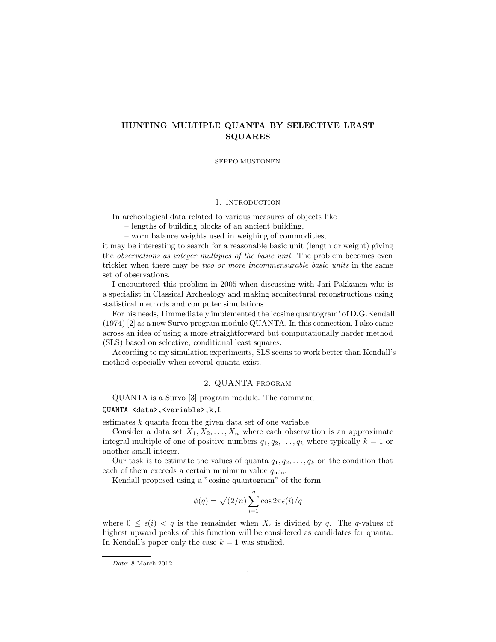# HUNTING MULTIPLE QUANTA BY SELECTIVE LEAST SQUARES

SEPPO MUSTONEN

#### 1. INTRODUCTION

In archeological data related to various measures of objects like

– lengths of building blocks of an ancient building,

– worn balance weights used in weighing of commodities,

it may be interesting to search for a reasonable basic unit (length or weight) giving the observations as integer multiples of the basic unit. The problem becomes even trickier when there may be two or more incommensurable basic units in the same set of observations.

I encountered this problem in 2005 when discussing with Jari Pakkanen who is a specialist in Classical Archealogy and making architectural reconstructions using statistical methods and computer simulations.

For his needs, I immediately implemented the 'cosine quantogram' of D.G.Kendall (1974) [2] as a new Survo program module QUANTA. In this connection, I also came across an idea of using a more straightforward but computationally harder method (SLS) based on selective, conditional least squares.

According to my simulation experiments, SLS seems to work better than Kendall's method especially when several quanta exist.

## 2. QUANTA program

QUANTA is a Survo [3] program module. The command

### QUANTA <data>,<variable>,k,L

estimates k quanta from the given data set of one variable.

Consider a data set  $X_1, X_2, \ldots, X_n$  where each observation is an approximate integral multiple of one of positive numbers  $q_1, q_2, \ldots, q_k$  where typically  $k = 1$  or another small integer.

Our task is to estimate the values of quanta  $q_1, q_2, \ldots, q_k$  on the condition that each of them exceeds a certain minimum value  $q_{\min}$ .

Kendall proposed using a "cosine quantogram" of the form

$$
\phi(q) = \sqrt{2/n} \sum_{i=1}^{n} \cos 2\pi \epsilon(i)/q
$$

where  $0 \leq \epsilon(i) < q$  is the remainder when  $X_i$  is divided by q. The q-values of highest upward peaks of this function will be considered as candidates for quanta. In Kendall's paper only the case  $k = 1$  was studied.

Date: 8 March 2012.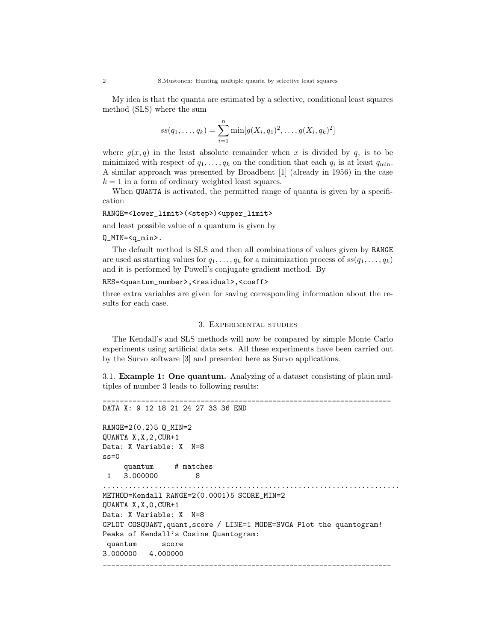My idea is that the quanta are estimated by a selective, conditional least squares method (SLS) where the sum

$$
ss(q_1, ..., q_k) = \sum_{i=1}^n \min[g(X_i, q_1)^2, ..., g(X_i, q_k)^2]
$$

where  $g(x, q)$  in the least absolute remainder when x is divided by q, is to be minimized with respect of  $q_1, \ldots, q_k$  on the condition that each  $q_i$  is at least  $q_{\min}$ . A similar approach was presented by Broadbent [1] (already in 1956) in the case  $k = 1$  in a form of ordinary weighted least squares.

When QUANTA is activated, the permitted range of quanta is given by a specification

#### RANGE=<lower\_limit>(<step>)<upper\_limit>

and least possible value of a quantum is given by

#### Q\_MIN=<q\_min>.

The default method is SLS and then all combinations of values given by RANGE are used as starting values for  $q_1, \ldots, q_k$  for a minimization process of  $ss(q_1, \ldots, q_k)$ and it is performed by Powell's conjugate gradient method. By

```
RES=<quantum_number>,<residual>,<coeff>
```
three extra variables are given for saving corresponding information about the results for each case.

#### 3. Experimental studies

The Kendall's and SLS methods will now be compared by simple Monte Carlo experiments using artificial data sets. All these experiments have been carried out by the Survo software [3] and presented here as Survo applications.

3.1. Example 1: One quantum. Analyzing of a dataset consisting of plain multiples of number 3 leads to following results:

\_\_\_\_\_\_\_\_\_\_\_\_\_\_\_\_\_\_\_\_\_\_\_\_\_\_\_\_\_\_\_\_\_\_\_\_\_\_\_\_\_\_\_\_\_\_\_\_\_\_\_\_\_\_\_\_\_\_\_\_\_\_\_\_\_\_\_\_

#### DATA X: 9 12 18 21 24 27 33 36 END

```
RANGE=2(0.2)5 Q_MIN=2
QUANTA X,X,2,CUR+1
Data: X Variable: X N=8
ss=0quantum # matches
 1 3.000000 8
......................................................................
METHOD=Kendall RANGE=2(0.0001)5 SCORE_MIN=2
QUANTA X,X,0,CUR+1
Data: X Variable: X N=8
GPLOT COSQUANT,quant,score / LINE=1 MODE=SVGA Plot the quantogram!
Peaks of Kendall's Cosine Quantogram:
 quantum score
3.000000 4.000000
    ____________________________________________________________________
```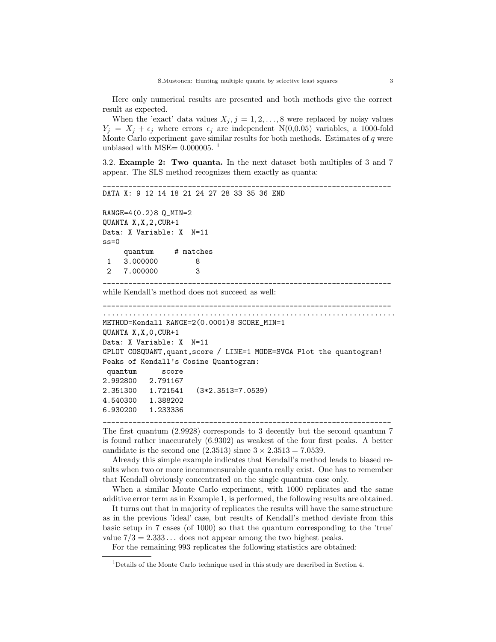Here only numerical results are presented and both methods give the correct result as expected.

When the 'exact' data values  $X_j$ ,  $j = 1, 2, ..., 8$  were replaced by noisy values  $Y_j = X_j + \epsilon_j$  where errors  $\epsilon_j$  are independent N(0,0.05) variables, a 1000-fold Monte Carlo experiment gave similar results for both methods. Estimates of  $q$  were unbiased with MSE=  $0.000005$ .<sup>1</sup>

3.2. Example 2: Two quanta. In the next dataset both multiples of 3 and 7 appear. The SLS method recognizes them exactly as quanta:

\_\_\_\_\_\_\_\_\_\_\_\_\_\_\_\_\_\_\_\_\_\_\_\_\_\_\_\_\_\_\_\_\_\_\_\_\_\_\_\_\_\_\_\_\_\_\_\_\_\_\_\_\_\_\_\_\_\_\_\_\_\_\_\_\_\_\_\_

DATA X: 9 12 14 18 21 24 27 28 33 35 36 END

```
RANGE=4(0.2)8 Q_MIN=2
QUANTA X,X,2,CUR+1
Data: X Variable: X N=11
ss=0
    quantum # matches
1 3.000000 8
2 7.000000 3
```
\_\_\_\_\_\_\_\_\_\_\_\_\_\_\_\_\_\_\_\_\_\_\_\_\_\_\_\_\_\_\_\_\_\_\_\_\_\_\_\_\_\_\_\_\_\_\_\_\_\_\_\_\_\_\_\_\_\_\_\_\_\_\_\_\_\_\_\_ while Kendall's method does not succeed as well:

```
____________________________________________________________________
.....................................................................
METHOD=Kendall RANGE=2(0.0001)8 SCORE_MIN=1
QUANTA X,X,0,CUR+1
Data: X Variable: X N=11
GPLOT COSQUANT,quant,score / LINE=1 MODE=SVGA Plot the quantogram!
Peaks of Kendall's Cosine Quantogram:
 quantum score
2.992800 2.791167
2.351300 1.721541 (3*2.3513=7.0539)
4.540300 1.388202
6.930200 1.233336
```
The first quantum (2.9928) corresponds to 3 decently but the second quantum 7 is found rather inaccurately (6.9302) as weakest of the four first peaks. A better candidate is the second one  $(2.3513)$  since  $3 \times 2.3513 = 7.0539$ .

\_\_\_\_\_\_\_\_\_\_\_\_\_\_\_\_\_\_\_\_\_\_\_\_\_\_\_\_\_\_\_\_\_\_\_\_\_\_\_\_\_\_\_\_\_\_\_\_\_\_\_\_\_\_\_\_\_\_\_\_\_\_\_\_\_\_\_\_

Already this simple example indicates that Kendall's method leads to biased results when two or more incommensurable quanta really exist. One has to remember that Kendall obviously concentrated on the single quantum case only.

When a similar Monte Carlo experiment, with 1000 replicates and the same additive error term as in Example 1, is performed, the following results are obtained.

It turns out that in majority of replicates the results will have the same structure as in the previous 'ideal' case, but results of Kendall's method deviate from this basic setup in 7 cases (of 1000) so that the quantum corresponding to the 'true' value  $7/3 = 2.333...$  does not appear among the two highest peaks.

For the remaining 993 replicates the following statistics are obtained:

<sup>1</sup>Details of the Monte Carlo technique used in this study are described in Section 4.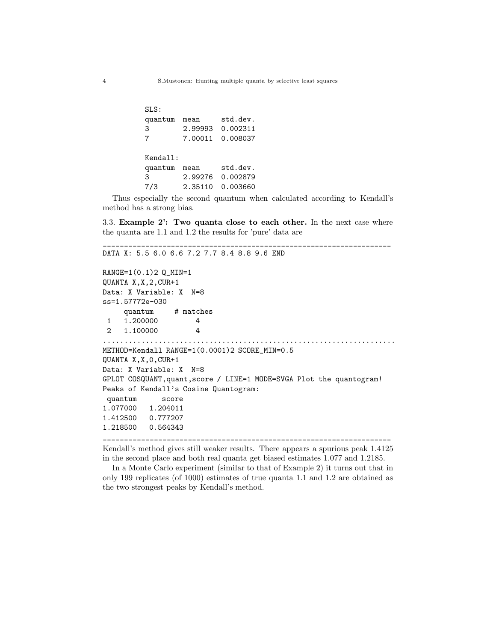| SLS:     |         |          |
|----------|---------|----------|
| quantum  | mean    | std.dev. |
| 3        | 2.99993 | 0.002311 |
| 7        | 7.00011 | 0.008037 |
|          |         |          |
| Kendall: |         |          |
| quantum  | mean    | std.dev. |
| 3        | 2.99276 | 0.002879 |
| 7/3      | 2.35110 | 0.003660 |

Thus especially the second quantum when calculated according to Kendall's method has a strong bias.

3.3. Example 2': Two quanta close to each other. In the next case where the quanta are 1.1 and 1.2 the results for 'pure' data are

\_\_\_\_\_\_\_\_\_\_\_\_\_\_\_\_\_\_\_\_\_\_\_\_\_\_\_\_\_\_\_\_\_\_\_\_\_\_\_\_\_\_\_\_\_\_\_\_\_\_\_\_\_\_\_\_\_\_\_\_\_\_\_\_\_\_\_\_

```
DATA X: 5.5 6.0 6.6 7.2 7.7 8.4 8.8 9.6 END
RANGE=1(0.1)2 Q_MIN=1
QUANTA X,X,2,CUR+1
Data: X Variable: X N=8
ss=1.57772e-030
    quantum # matches
1 1.200000 4
2 1.100000 4
.....................................................................
METHOD=Kendall RANGE=1(0.0001)2 SCORE_MIN=0.5
QUANTA X,X,0,CUR+1
Data: X Variable: X N=8
GPLOT COSQUANT,quant,score / LINE=1 MODE=SVGA Plot the quantogram!
Peaks of Kendall's Cosine Quantogram:
quantum score
1.077000 1.204011
1.412500 0.777207
1.218500 0.564343
```
Kendall's method gives still weaker results. There appears a spurious peak 1.4125 in the second place and both real quanta get biased estimates 1.077 and 1.2185.

\_\_\_\_\_\_\_\_\_\_\_\_\_\_\_\_\_\_\_\_\_\_\_\_\_\_\_\_\_\_\_\_\_\_\_\_\_\_\_\_\_\_\_\_\_\_\_\_\_\_\_\_\_\_\_\_\_\_\_\_\_\_\_\_\_\_\_\_

In a Monte Carlo experiment (similar to that of Example 2) it turns out that in only 199 replicates (of 1000) estimates of true quanta 1.1 and 1.2 are obtained as the two strongest peaks by Kendall's method.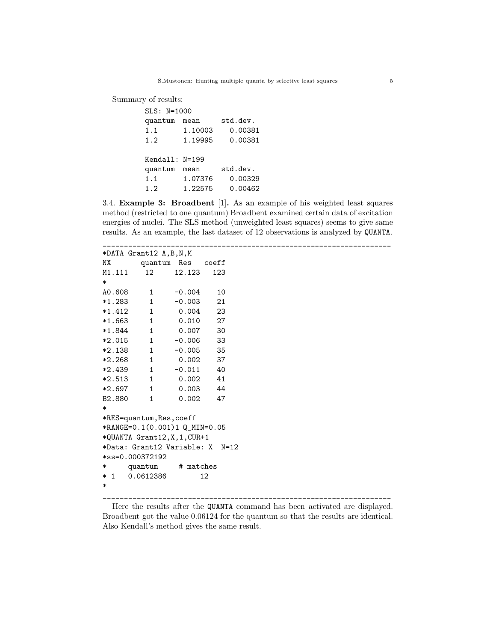Summary of results:

| $SLS: N=1000$    |         |          |  |
|------------------|---------|----------|--|
| quantum          | mean    | std.dev. |  |
| 1.1              | 1.10003 | 0.00381  |  |
| 1.2              | 1.19995 | 0.00381  |  |
|                  |         |          |  |
| $Kendall: N=199$ |         |          |  |
| quantum          | mean    | std.dev. |  |
| 1.1              | 1.07376 | 0.00329  |  |
| 1.2              | 1.22575 | 0.00462  |  |

3.4. Example 3: Broadbent [1]. As an example of his weighted least squares method (restricted to one quantum) Broadbent examined certain data of excitation energies of nuclei. The SLS method (unweighted least squares) seems to give same results. As an example, the last dataset of 12 observations is analyzed by QUANTA.

```
____________________________________________________________________
*DATA Grant12 A,B,N,M
NX quantum Res coeff
M1.111 12 12.123 123
*
A0.608 1 -0.004 10
*1.283 1 -0.003 21
*1.412 1 0.004 23
*1.663 1 0.010 27
*1.844 1 0.007 30
*2.015 1 -0.006 33
*2.138 1 -0.005 35
*2.268 1 0.002 37
*2.439 1 -0.011 40
*2.513 1 0.002 41
*2.697 1 0.003 44
B2.880 1 0.002 47
*
*RES=quantum,Res,coeff
*RANGE=0.1(0.001)1 Q_MIN=0.05
*QUANTA Grant12,X,1,CUR+1
*Data: Grant12 Variable: X N=12
*ss=0.000372192
    quantum # matches
* 1 0.0612386 12
*
```
\_\_\_\_\_\_\_\_\_\_\_\_\_\_\_\_\_\_\_\_\_\_\_\_\_\_\_\_\_\_\_\_\_\_\_\_\_\_\_\_\_\_\_\_\_\_\_\_\_\_\_\_\_\_\_\_\_\_\_\_\_\_\_\_\_\_\_\_

Here the results after the QUANTA command has been activated are displayed. Broadbent got the value 0.06124 for the quantum so that the results are identical. Also Kendall's method gives the same result.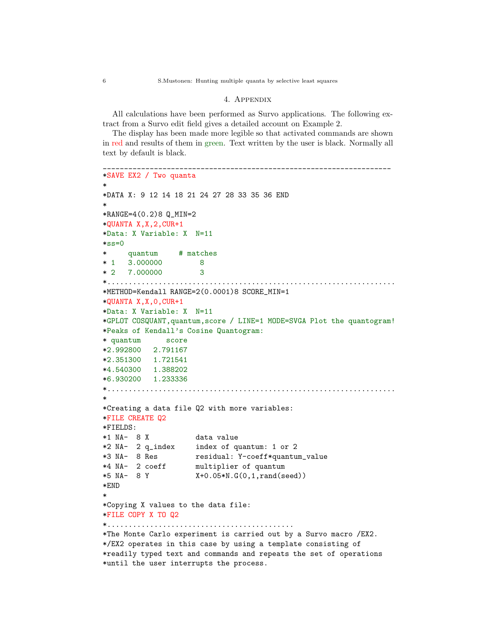#### 4. Appendix

All calculations have been performed as Survo applications. The following extract from a Survo edit field gives a detailed account on Example 2.

The display has been made more legible so that activated commands are shown in red and results of them in green. Text written by the user is black. Normally all text by default is black.

```
____________________________________________________________________
*SAVE EX2 / Two quanta
*
*DATA X: 9 12 14 18 21 24 27 28 33 35 36 END
*
*RANGE=4(0.2)8 Q_MIN=2
*QUANTA X,X,2,CUR+1
*Data: X Variable: X N=11
*ss-0* quantum # matches
* 1 3.000000 8
* 2 7.000000 3
*....................................................................
*METHOD=Kendall RANGE=2(0.0001)8 SCORE_MIN=1
*QUANTA X,X,0,CUR+1
*Data: X Variable: X N=11
*GPLOT COSQUANT,quantum,score / LINE=1 MODE=SVGA Plot the quantogram!
*Peaks of Kendall's Cosine Quantogram:
* quantum score
*2.992800 2.791167
*2.351300 1.721541
*4.540300 1.388202
*6.930200 1.233336
*....................................................................
*
*Creating a data file Q2 with more variables:
*FILE CREATE Q2
*FIELDS:
*1 NA- 8 X data value
*2 NA- 2 q_index index of quantum: 1 or 2
*3 NA- 8 Res residual: Y-coeff*quantum_value
*4 NA- 2 coeff multiplier of quantum
*5 NA- 8 Y X+0.05*N.G(0,1,rand(seed))
*END
*
*Copying X values to the data file:
*FILE COPY X TO Q2
*............................................
*The Monte Carlo experiment is carried out by a Survo macro /EX2.
*/EX2 operates in this case by using a template consisting of
*readily typed text and commands and repeats the set of operations
*until the user interrupts the process.
```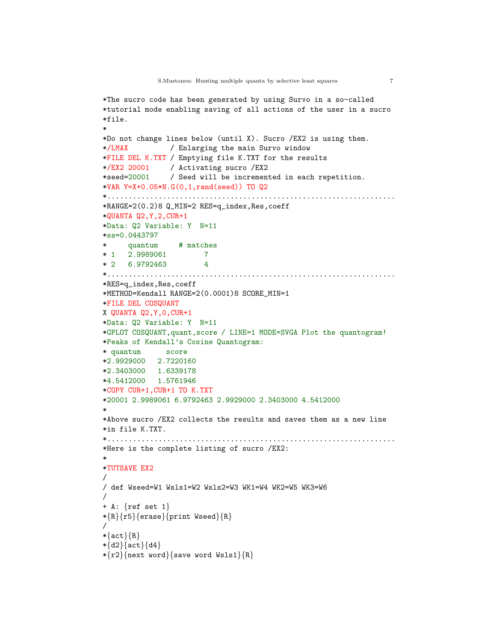```
*The sucro code has been generated by using Survo in a so-called
*tutorial mode enabling saving of all actions of the user in a sucro
*file.
*
*Do not change lines below (until X). Sucro /EX2 is using them.
*/LMAX / Enlarging the main Survo window
*FILE DEL K.TXT / Emptying file K.TXT for the results
*/EX2 20001 / Activating sucro /EX2
*seed=20001 / Seed will be incremented in each repetition.
*VAR Y=X+0.05*N.G(0,1,rand(seed)) TO Q2
*....................................................................
*RANGE=2(0.2)8 Q_MIN=2 RES=q_index,Res,coeff
*QUANTA Q2,Y,2,CUR+1
*Data: Q2 Variable: Y N=11
*ss=0.0443797
* quantum # matches
* 1 2.9989061 7
* 2 6.9792463 4
*....................................................................
*RES=q_index,Res,coeff
*METHOD=Kendall RANGE=2(0.0001)8 SCORE_MIN=1
*FILE DEL COSQUANT
X QUANTA Q2,Y,0,CUR+1
*Data: Q2 Variable: Y N=11
*GPLOT COSQUANT,quant,score / LINE=1 MODE=SVGA Plot the quantogram!
*Peaks of Kendall's Cosine Quantogram:
* quantum score
*2.9929000 2.7220160
*2.3403000 1.6339178
*4.5412000 1.5761946
*COPY CUR+1,CUR+1 TO K.TXT
*20001 2.9989061 6.9792463 2.9929000 2.3403000 4.5412000
*
*Above sucro /EX2 collects the results and saves them as a new line
*in file K.TXT.
*....................................................................
*Here is the complete listing of sucro /EX2:
*
*TUTSAVE EX2
/
/ def Wseed=W1 Wsls1=W2 Wsls2=W3 WK1=W4 WK2=W5 WK3=W6
/
+ A: \{ref set 1\}*{R}{r5}{erase}{print Wseed}{R}
/
*\{act\}{R}
*\{d2\}{act}{d4}
*\{r2\}{next word}{save word Wsls1}{R}
```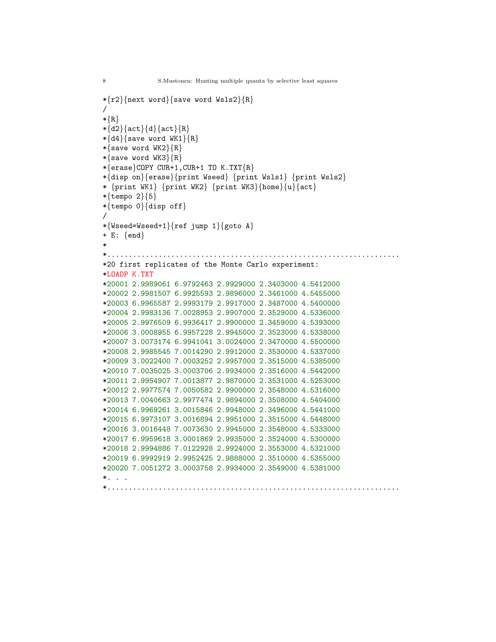```
*\{r2\}{next word}{save word Wsls2}{R}
/
*{R}*\{d2\}{act}{d}{act}{R}
*\{d4\}{save word WK1}\{R\}*\{save word WK2\{R\}*{save word WK3}{R}
*{erase}COPY CUR+1, CUR+1 TO K.TXT{R}*{disp on}{erase}{print Wseed} {print Wsls1} {print Wsls2}
* {print WK1} {print WK2} {print WK3}{home}{u}{act}
*{tempo 2}{5}
*{tempo 0}{disp off}
/
*\{W{\text{seed}}=\text{W{\text{seed}}+1}\{ref\} jump 1}{goto A}
+ E: \{end\}*
*.....................................................................
*20 first replicates of the Monte Carlo experiment:
*LOADP K.TXT
*20001 2.9989061 6.9792463 2.9929000 2.3403000 4.5412000
*20002 2.9981507 6.9925593 2.9896000 2.3461000 4.5455000
*20003 6.9965587 2.9993179 2.9917000 2.3487000 4.5400000
*20004 2.9983136 7.0028953 2.9907000 2.3529000 4.5336000
*20005 2.9976509 6.9936417 2.9900000 2.3459000 4.5393000
*20006 3.0008955 6.9957228 2.9945000 2.3523000 4.5338000
*20007 3.0073174 6.9941041 3.0024000 2.3470000 4.5500000
*20008 2.9985545 7.0014290 2.9912000 2.3530000 4.5337000
*20009 3.0022400 7.0003252 2.9957000 2.3515000 4.5385000
*20010 7.0035025 3.0003706 2.9934000 2.3516000 4.5442000
*20011 2.9954907 7.0013877 2.9870000 2.3531000 4.5253000
*20012 2.9977574 7.0050582 2.9900000 2.3548000 4.5316000
*20013 7.0040663 2.9977474 2.9894000 2.3508000 4.5404000
*20014 6.9969261 3.0015846 2.9948000 2.3496000 4.5441000
*20015 6.9973107 3.0016894 2.9951000 2.3515000 4.5448000
*20016 3.0016448 7.0073630 2.9945000 2.3548000 4.5333000
*20017 6.9959618 3.0001869 2.9935000 2.3524000 4.5300000
*20018 2.9994886 7.0122928 2.9924000 2.3553000 4.5321000
*20019 6.9992919 2.9952425 2.9888000 2.3510000 4.5355000
*20020 7.0051272 3.0003758 2.9934000 2.3549000 4.5381000
*. . .
*.....................................................................
```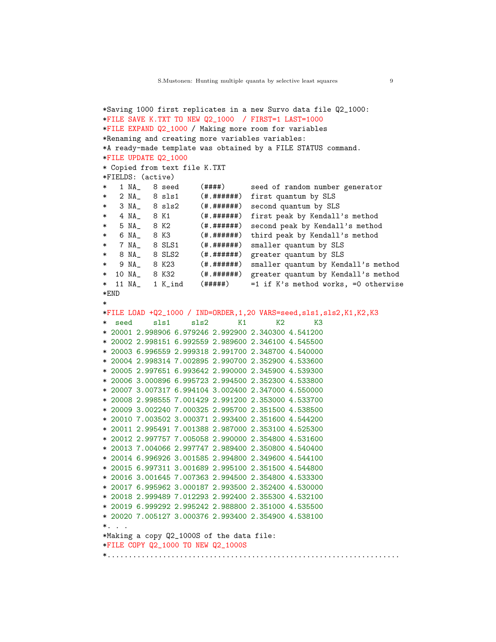```
*Saving 1000 first replicates in a new Survo data file Q2_1000:
*FILE SAVE K.TXT TO NEW Q2_1000 / FIRST=1 LAST=1000
*FILE EXPAND Q2_1000 / Making more room for variables
*Renaming and creating more variables variables:
*A ready-made template was obtained by a FILE STATUS command.
*FILE UPDATE Q2_1000
* Copied from text file K.TXT
*FIELDS: (active)
   1 NA_ 8 seed (####) seed of random number generator
   2 NA_ 8 sls1 (#.#######) first quantum by SLS
* 3 NA_ 8 sls2 (#.######) second quantum by SLS
  * 4 NA_ 8 K1 (#.######) first peak by Kendall's method
* 5 NA_ 8 K2 (#.######) second peak by Kendall's method
   6 NA_ 8 K3 (#.#######) third peak by Kendall's method
* 7 NA_ 8 SLS1 (#.######) smaller quantum by SLS
  8 NA_ 8 SLS2 (#.######) greater quantum by SLS
* 9 NA_ 8 K23 (#.######) smaller quantum by Kendall's method
* 10 NA_ 8 K32 (#.######) greater quantum by Kendall's method
* 11 NA_ 1 K_ind (#####) =1 if K's method works, =0 otherwise
*END
*
*FILE LOAD +Q2_1000 / IND=ORDER,1,20 VARS=seed,sls1,sls2,K1,K2,K3
* seed sls1 sls2 K1 K2 K3
* 20001 2.998906 6.979246 2.992900 2.340300 4.541200
* 20002 2.998151 6.992559 2.989600 2.346100 4.545500
* 20003 6.996559 2.999318 2.991700 2.348700 4.540000
* 20004 2.998314 7.002895 2.990700 2.352900 4.533600
* 20005 2.997651 6.993642 2.990000 2.345900 4.539300
* 20006 3.000896 6.995723 2.994500 2.352300 4.533800
* 20007 3.007317 6.994104 3.002400 2.347000 4.550000
* 20008 2.998555 7.001429 2.991200 2.353000 4.533700
* 20009 3.002240 7.000325 2.995700 2.351500 4.538500
* 20010 7.003502 3.000371 2.993400 2.351600 4.544200
* 20011 2.995491 7.001388 2.987000 2.353100 4.525300
* 20012 2.997757 7.005058 2.990000 2.354800 4.531600
* 20013 7.004066 2.997747 2.989400 2.350800 4.540400
* 20014 6.996926 3.001585 2.994800 2.349600 4.544100
* 20015 6.997311 3.001689 2.995100 2.351500 4.544800
* 20016 3.001645 7.007363 2.994500 2.354800 4.533300
* 20017 6.995962 3.000187 2.993500 2.352400 4.530000
* 20018 2.999489 7.012293 2.992400 2.355300 4.532100
* 20019 6.999292 2.995242 2.988800 2.351000 4.535500
* 20020 7.005127 3.000376 2.993400 2.354900 4.538100
*. . .
*Making a copy Q2_1000S of the data file:
*FILE COPY Q2_1000 TO NEW Q2_1000S
*.....................................................................
```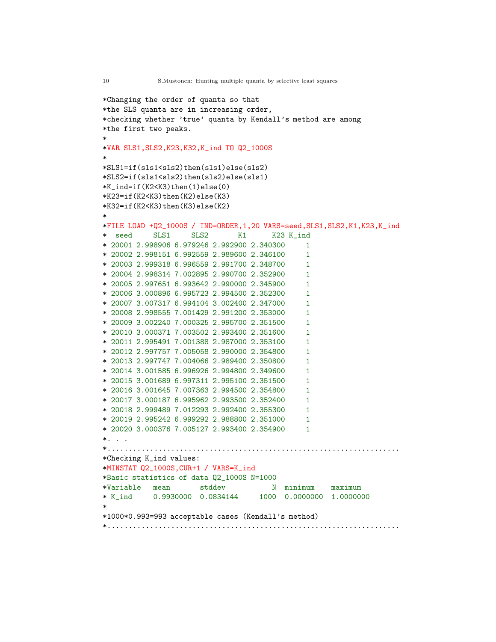```
10 S.Mustonen: Hunting multiple quanta by selective least squares
*Changing the order of quanta so that
*the SLS quanta are in increasing order,
*checking whether 'true' quanta by Kendall's method are among
*the first two peaks.
*
*VAR SLS1,SLS2,K23,K32,K_ind TO Q2_1000S
*
*SLS1=if(sls1<sls2)then(sls1)else(sls2)
*SLS2=if(sls1<sls2)then(sls2)else(sls1)
*K_ind=if(K2<K3)then(1)else(0)
*K23=if(K2<K3)then(K2)else(K3)
*K32=if(K2<K3)then(K3)else(K2)
*
*FILE LOAD +Q2_1000S / IND=ORDER,1,20 VARS=seed,SLS1,SLS2,K1,K23,K_ind
* seed SLS1 SLS2 K1 K23 K_ind
* 20001 2.998906 6.979246 2.992900 2.340300 1
* 20002 2.998151 6.992559 2.989600 2.346100 1
* 20003 2.999318 6.996559 2.991700 2.348700 1
* 20004 2.998314 7.002895 2.990700 2.352900 1
* 20005 2.997651 6.993642 2.990000 2.345900 1
* 20006 3.000896 6.995723 2.994500 2.352300 1
* 20007 3.007317 6.994104 3.002400 2.347000 1
* 20008 2.998555 7.001429 2.991200 2.353000 1
* 20009 3.002240 7.000325 2.995700 2.351500 1
* 20010 3.000371 7.003502 2.993400 2.351600 1
* 20011 2.995491 7.001388 2.987000 2.353100 1
* 20012 2.997757 7.005058 2.990000 2.354800 1
* 20013 2.997747 7.004066 2.989400 2.350800 1
* 20014 3.001585 6.996926 2.994800 2.349600 1
* 20015 3.001689 6.997311 2.995100 2.351500 1
* 20016 3.001645 7.007363 2.994500 2.354800 1
* 20017 3.000187 6.995962 2.993500 2.352400 1
* 20018 2.999489 7.012293 2.992400 2.355300 1
* 20019 2.995242 6.999292 2.988800 2.351000 1
* 20020 3.000376 7.005127 2.993400 2.354900 1
*. . .
*.....................................................................
*Checking K_ind values:
*MINSTAT Q2_1000S,CUR+1 / VARS=K_ind
*Basic statistics of data Q2_1000S N=1000
*Variable mean stddev N minimum maximum
* K_ind 0.9930000 0.0834144 1000 0.0000000 1.0000000
*
*1000*0.993=993 acceptable cases (Kendall's method)
*.....................................................................
```